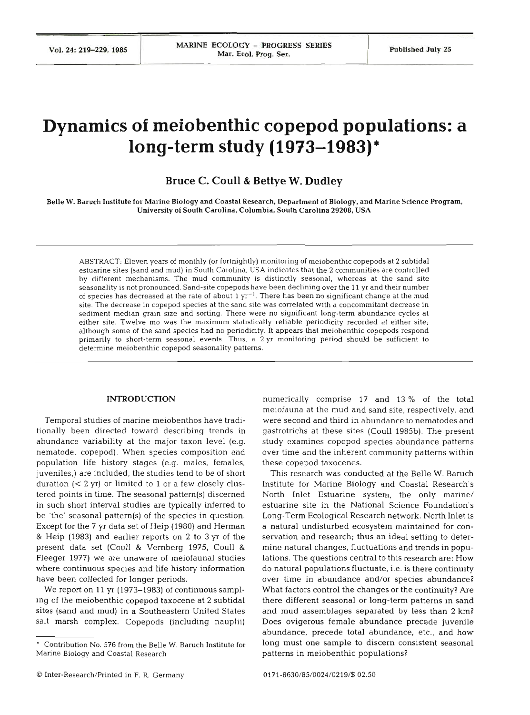# **Dynamics of meiobenthic copepod populations: a long-term study (1973-1983)'**

## **Bruce C. Coull** & **Bettye W. Dudley**

Belle W. Baruch Institute for Marine Biology and Coastal Research. Department of Biology, and Marine Science Program, University of South Carolina, Columbia, South Carolina **29208,** USA

ABSTRACT: Eleven years of monthly (or fortnightly) monitoring of meiobenthic copepods at 2 subtidal estuarine sites (sand and mud) in South Carolina, USA indicates that the 2 communities are controlled by different mechanisms. The mud community is distinctly seasonal, whereas at the sand site seasonality is not pronounced. Sand-site copepods have been declining over the 11 yr and their number of species has decreased at the rate of about 1  $yr^{-1}$ . There has been no significant change at the mud site. The decrease in copepod species at the sand site was correlated with a concommitant decrease in sediment median grain size and sorting. There were no significant long-term abundance cycles at either site. Twelve mo was the maximum statistically reliable periodicity recorded at either site; although some of the sand species had no periodicity. It appears that meiobenthic copepods respond primarily to short-term seasonal events. Thus, a 2 **yr** monitoring period should be sufficient to determine meiobenthic copepod seasonality patterns.

## INTRODUCTION

Temporal studies of marine meiobenthos have traditionally been directed toward describing trends in abundance variability at the major taxon level (e.g. nematode, copepod). When species composition and population life history stages (e.g. males, females, juveniles,) are included, the studies tend to be of short duration (< **2** yr) or limited to 1 or a few closely clustered points in time. The seasonal pattern(s) discerned in such short interval studies are typically inferred to be 'the' seasonal pattern(s) of the species in question. Except for the 7 yr data set of Heip (1980) and Herman & Heip (1983) and earlier reports on **2** to 3 yr of the present data set (Coull & Vernberg 1975, Coull & Fleeger 1977) we are unaware of meiofaunal studies where continuous species and life history information have been collected for longer periods.

We report on 11 yr (1973-1983) of continuous sampling of the meiobenthic copepod taxocene at 2 subtidal sites (sand and mud) in a southeastern United States salt marsh complex. Copepods (including nauplii)

numerically comprise 17 and 13 % of the total meiofauna at the mud and sand site, respectively, and were second and third in abundance to nematodes and gastrotrichs at these sites (Coull 1985b). The present study examines copepod species abundance patterns over time and the inherent community patterns within these copepod taxocenes.

This research was conducted at the Belle W. Baruch Institute for Marine Biology and Coastal Research's North Inlet Estuarine system, the only marine/ estuarine site in the National Science Foundation' Long-Term Ecological Research network. North Inlet is a natural undisturbed ecosystem maintained for conservation and research; thus an ideal setting to determine natural changes, fluctuations and trends in populations. The questions central to this research are: How do natural populations fluctuate, i.e. is there continuity over time in abundance and/or species abundance? What factors control the changes or the continuity? Are there different seasonal or long-term patterns in sand and mud assemblages separated by less than 2 km? Does ovigerous female abundance precede juvenile abundance, precede total abundance, etc., and how long must one sample to discern consistent seasonal patterns in meiobenthic populations?

<sup>-</sup> Contribution No. 576 from the Belle W. Baruch Institute fo Marine Biology and Coastal Research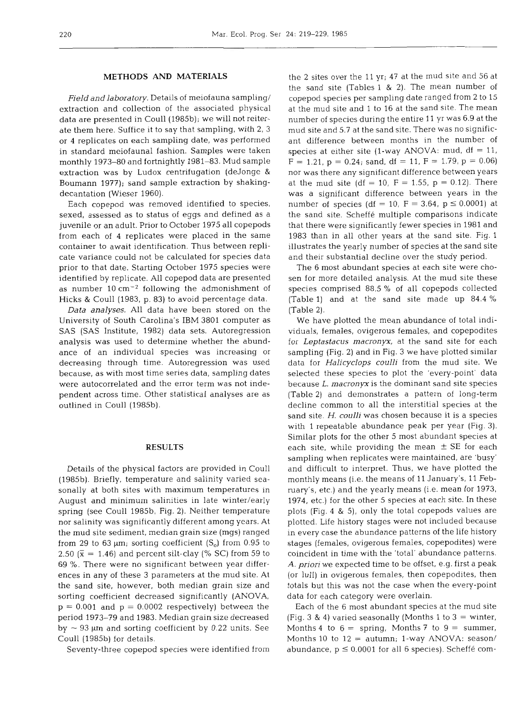## **METHODS AND MATERIALS**

*Field and laboratory.* Details of meiofauna sampling/ extraction and collection of the associated physical data are presented in Coull (1985b); we will not reiterate them here. Suffice it to say that sampling, with 2, 3 or 4 replicates on each sampling date, was performed in standard meiofaunal fashion. Samples were taken monthly 1973-80 and fortnightly 1981-83. Mud sample extraction was by Ludox centrifugation (deJonge & Boumann 1977); sand sample extraction by shakingdecantation (Wieser 1960).

Each copepod was removed identified to species, sexed, assessed as to status of eggs and defined as a juvenile or an adult. Prior to October 1975 all copepods from each of 4 replicates were placed in the same container to await identification. Thus between replicate variance could not be calculated for species data prior to that date. Starting October 1975 species were identified by replicate. All copepod data are presented as number  $10 \text{ cm}^{-2}$  following the admonishment of Hicks & Coull (1983, p. 83) to avoid percentage data.

*Data analyses.* All data have been stored on the University of South Carolina's IBM 3801 computer as SAS (SAS Institute, 1982) data sets. Autoregression analysis was used to determine whether the abundance of an individual species was increasing or decreasing through time. Autoregression was used because, as with most time series data, sampling dates were autocorrelated and the error term was not independent across time. Other statistical analyses are as outlined in Coull (1985b).

## **RESULTS**

Details of the physical factors are provided in Coull (1985b). Briefly, temperature and salinity varied seasonally at both sites with maximum temperatures in August and minimum salinities in late winter/early spring (see Coull 1985b, Fig. 2). Neither temperature nor salinity was significantly different among years. At the mud site sediment, median grain size (mgs) ranged from 29 to 63  $\mu$ m; sorting coefficient (S<sub>o</sub>) from 0.95 to 2.50 ( $\bar{x}$  = 1.46) and percent silt-clay (% SC) from 59 to 69 %. There were no significant between year differences in any of these 3 parameters at the mud site. At the sand site, however, both median grain size and sorting coefficient decreased significantly (ANOVA,  $p = 0.001$  and  $p = 0.0002$  respectively) between the period 1973-79 and 1983. Median grain size decreased by  $\sim$  93  $\mu$ m and sorting coefficient by 0.22 units. See Coull (1985b) for details.

Seventy-three copepod species were identified from

the 2 sites over the 11 yr; 47 at the mud site and 56 at the sand site (Tables 1 & 2). The mean number of copepod species per sampling date ranged from 2 to 15 at the mud site and 1 to 16 at the sand site. The mean number of species during the entire 11 yr was 6.9 at the mud site and 5.7 at the sand site. There was no significant difference between months in the number of species at either site (1-way ANOVA: mud,  $df = 11$ ,  $F = 1.21$ ,  $p = 0.24$ ; sand, df = 11,  $F = 1.79$ ,  $p = 0.06$ ) nor was there any significant difference between years at the mud site (df = 10, F = 1.55, p = 0.12). There was a significant difference between years in the number of species (df = 10, F = 3.64,  $p \le 0.0001$ ) at the sand site. Scheffe multiple comparisons indicate that there were significantly fewer species in 1981 and 1983 than in all other years at the sand site. Fig. 1 illustrates the yearly number of species at the sand site and their substantial decline over the study period.

The 6 most abundant species at each site were chosen for more detailed analysis. At the mud site these species comprised 88.5 % of all copepods collected (Table l) and at the sand site made up 84.4 % (Table 2).

We have plotted the mean abundance of total individuals, females, ovigerous females, and copepodites for *Leptastacus macronyx,* at the sand site for each sampling (Fig. **2)** and in Fig. 3 we have plotted similar data for *Halicyclops coulli* from the mud site. We selected these species to plot the 'every-point' data because L. *macronyx* is the dominant sand site species (Table **2)** and demonstrates a pattern of long-term decline common to all the interstitial species at the sand site. H. *coulli* was chosen because it is a species with 1 repeatable abundance peak per year (Fig. **3).**  Similar plots for the other 5 most abundant species at each site, while providing the mean  $\pm$  SE for each sampling when replicates were maintained, are 'busy' and difficult to interpret. Thus, we have plotted the monthly means (i.e. the means of 11 January's, 11 February's, etc.) and the yearly means (i.e. mean for 1973, 1974, etc.) for the other 5 species at each site. In these plots (Fig. 4 & S), only the total copepods values are plotted. Life history stages were not included because in every case the abundance patterns of the life history stages (females, ovigerous females, copepodites) were coincident in time with the 'total' abundance patterns. A, *priori* we expected time to be offset, e.g. first a peak (or lull) in ovigerous females, then copepodites, then totals but this was not the case when the every-point data for each category were overlain.

Each of the 6 most abundant species at the mud site (Fig. 3 & **4)** varied seasonally (Months 1 to 3 = winter, Months 4 to  $6 =$  spring, Months 7 to  $9 =$  summer, Months 10 to  $12 =$  autumn; 1-way ANOVA: season/ abundance, p *5* 0.0001 for all 6 species), Scheffe com-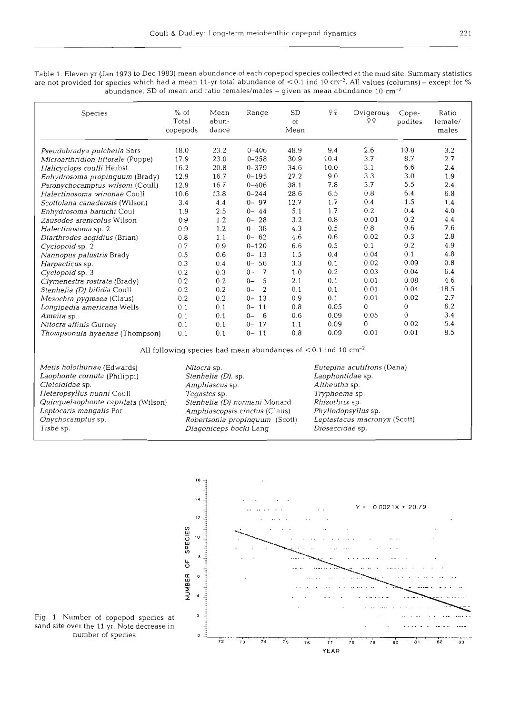*Table* 1. *Eleven yr (Jan* 1973 *to Dec* 1983) *mean abundance of each copepod species collected at the mud site. Summary statistics are not provided for species which had a mean* 11-yr *total abundance of* ~0.1 *ind* 10 *cm-2. All values (columns)* - *except for* % *abundance, SD of mean and ratio females/males* - *given as mean abundance* 10

| Species                           | $%$ of<br>Total<br>copepods | Mean<br>abun-<br>dance | Range                   | SD<br>of<br>Mean | ΥQ   | Ovigerous<br>ΥŶ | Cope-<br>podites | Ratio<br>female/<br>males |
|-----------------------------------|-----------------------------|------------------------|-------------------------|------------------|------|-----------------|------------------|---------------------------|
| Pseudobradya pulchella Sars       | 18.0                        | 23.2                   | $0 - 406$               | 48.9             | 9.4  | 2.6             | 10.9             | 3.2                       |
| Microarthridion littorale (Poppe) | 17.9                        | 23.0                   | $0 - 258$               | 30.9             | 10.4 | 3.7             | 8.7              | 2.7                       |
| Halicyclops coulli Herbst         | 16.2                        | 20.8                   | $0 - 379$               | 34.6             | 10.0 | 3.1             | 6.6              | 2.4                       |
| Enhydrosoma propinquum (Brady)    | 12.9                        | 16.7                   | $0 - 195$               | 27.2             | 9.0  | 3.3             | 3.0              | 1.9                       |
| Paronychocamptus wilsoni (Coull)  | 12.9                        | 16.7                   | $0 - 406$               | 38.1             | 7.8  | 3.7             | 5.5              | 2.4                       |
| Halectinosoma winonae Coull       | 10.6                        | 13.8                   | $0 - 244$               | 28.6             | 6.5  | 0.8             | 6.4              | 6.8                       |
| Scottolana canadensis (Wilson)    | 3.4                         | 4.4                    | $0 - 97$                | 12.7             | 1.7  | 0.4             | 1.5              | 1.4                       |
| Enhydrosoma baruchi Coul          | 1.9                         | 2.5                    | $0 - 44$                | 5.1              | 1.7  | 0.2             | 0.4              | 4.0                       |
| Zausodes arenicolus Wilson        | 0.9                         | 1.2                    | 28<br>$0 -$             | 3.2              | 0.8  | 0.01            | 0.2              | 4.4                       |
| Halectinosoma sp. 2               | 0.9                         | 1.2                    | $0 - 38$                | 4.3              | 0.5  | 0.8             | 0.6              | 7.6                       |
| Diarthrodes aegidius (Brian)      | 0.8                         | 1.1                    | $0 - 62$                | 4.6              | 0.6  | 0.02            | 0.3              | 2.8                       |
| Cyclopoid sp. 2                   | 0.7                         | 0.9                    | $0 - 120$               | 6.6              | 0.5  | 0.1             | 0.2              | 4.9                       |
| Nannopus palustris Brady          | 0.5                         | 0.6                    | $0 - 13$                | 1.5              | 0.4  | 0.04            | 0.1              | 4.8                       |
| Harpacticus sp.                   | 0.3                         | 0.4                    | $0 - 56$                | 3.3              | 0.1  | 0.02            | 0.09             | 0.8                       |
| Cyclopoid sp. 3                   | 0.2                         | 0.3                    | $\overline{f}$<br>$0 -$ | 1.0              | 0.2  | 0.03            | 0.04             | 6.4                       |
| Clymenestra rostrata (Brady)      | 0.2                         | 0.2                    | 5<br>$0-$               | 2.1              | 0.1  | 0.01            | 0.08             | 4.6                       |
| Stenhelia (D) bifidia Coull       | 0.2                         | 0.2                    | $\overline{2}$<br>$0-$  | 0.1              | 0.1  | 0.01            | 0.04             | 18.5                      |
| Mesochra pygmaea (Claus)          | 0.2                         | 0.2                    | 13<br>$0 -$             | 0.9              | 0.1  | 0.01            | 0.02             | 2.7                       |
| Longipedia americana Wells        | 0.1                         | 0.1                    | 11<br>$0-$              | 0.8              | 0.05 | 0               | 0                | 6.2                       |
| Ameira sp.                        | 0.1                         | 0.1                    | 6<br>$0-$               | 0.6              | 0.09 | 0.05            | 0                | 3.4                       |
| Nitocra affinis Gurney            | 0.1                         | 0.1                    | 17<br>$0-$              | 1.1              | 0.09 | 0               | 0.02             | 5.4                       |
| Thompsonula hyaenae (Thompson)    | 0.1                         | 0.1                    | 11<br>$0-$              | 0.8              | 0.09 | 0.01            | 0.01             | 8.5                       |

All following species had mean abundances of  $<$  0.1 ind 10  $cm^{-2}$ 

*Metis holothuriae (Edwards) Nitocra sp. Eutepina acutifrons (Dana) Laophonte cornuta (Philippi) Stenhelia (D). sp. Laophontidae sp. Heteropsyllus nunni Coull Tegastes sp. T~yphoerna sp. Quinquelaophonte capillata (Wilson) Stenhelia (D) normani Monard Rhizothrix sp. Leptocaris mangalis Por Amphiascopsis cinctus (Claus) Phyllodopsyllus sp.* <br> *Cnychocamptus sp. Robertsonia propinguum (Scott) Leptastacus macronyx (Scott) Tisbe* sp. *Diagoniceps bocki* Lang

*Cletoididae sp. Amphiascus sp. Altheutha sp. Onychocamptus sp. Robertsonia propinquum (Scott) Leptastacus macronyx (Scott)* 



Fig. 1. Number of copepod species at <sup>2</sup> sand site over the 11 yr. Note decrease in *number of species* **<sup>o</sup>**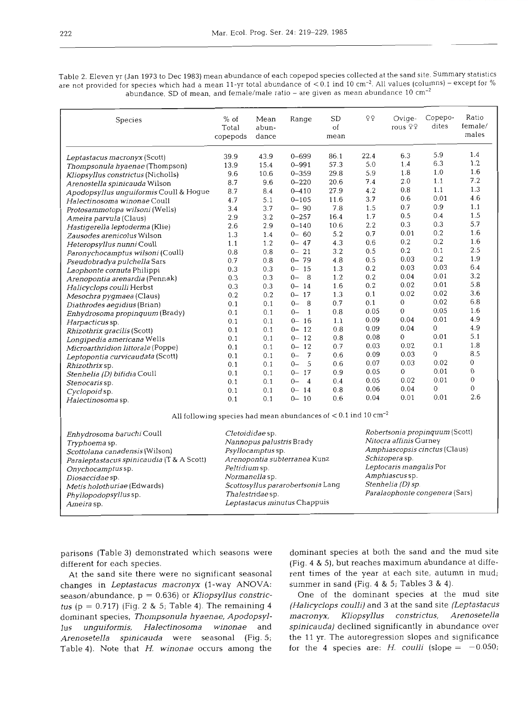*Table* 2. *Eleven* yr *(Jan* 1973 *to Dec* 1983) *mean abundance of each copepod species collected at the sand site. Summary statistics are not provided for species which had a mean 11-yr total abundance of* < 0.1 ind 10 *cm-2.* All *values (columns) -except for* % *abundance, SD of mean, and female/male ratio* - *are given as mean abundance* 10

| Species                                 | $%$ of<br>Total<br>copepods                                                  | Mean<br>abun-<br>dance | Range                    | SD<br>of<br>mean | ΟQ   | Ovige-<br>rous 99              | Copepo-<br>dites | Ratio<br>female/<br>males |
|-----------------------------------------|------------------------------------------------------------------------------|------------------------|--------------------------|------------------|------|--------------------------------|------------------|---------------------------|
| Leptastacus macronyx (Scott)            | 39.9                                                                         | 43.9                   | $0 - 699$                | 86.1             | 22.4 | 6.3                            | 5.9              | 1.4                       |
| Thompsonula hyaenae (Thompson)          | 13.9                                                                         | 15.4                   | $0 - 991$                | 57.3             | 5.0  | 1.4                            | 6.3              | 1.2                       |
| Kliopsyllus constrictus (Nicholls)      | 9.6                                                                          | 10.6                   | $0 - 359$                | 29.8             | 5.9  | 1.8                            | 1.0              | 1.6                       |
| Arenostella spinicauda Wilson           | 8.7                                                                          | 9.6                    | $0 - 220$                | 20.6             | 7.4  | 2.0                            | 1.1              | 7.2                       |
| Apodopsyllus unguiformis Coull & Hogue  | 8.7                                                                          | 8.4                    | $0 - 410$                | 27.9             | 4.2  | 0.8                            | 1.1              | 1.3                       |
| Halectinosoma winonae Coull             | 4.7                                                                          | 5.1                    | $0 - 105$                | 11.6             | 3.7  | 0.6                            | 0.01             | 4.6                       |
| Protosammotopa wilsoni (Wells)          | 3.4                                                                          | 3.7                    | $0 - 90$                 | 7.8              | 1.5  | 0.7                            | 0.9              | 1.1                       |
| Ameira parvula (Claus)                  | 2.9                                                                          | 3.2                    | $0 - 257$                | 16.4             | 1.7  | 0.5                            | 0.4              | 1.5                       |
| Hastigerella leptoderma (Klie)          | 2.6                                                                          | 2.9                    | $0 - 140$                | 10.6             | 2.2  | 0.3                            | 0.3              | 5.7                       |
| Zausodes arenicolus Wilson              | 1.3                                                                          | 1.4                    | $0 - 60$                 | 5.2              | 0.7  | 0.01                           | 0.2              | 1.6                       |
| Heteropsyllus nunni Coull               | 1.1                                                                          | 1.2                    | $0 - 47$                 | 4.3              | 0.6  | 0.2                            | 0.2              | 1.6                       |
| Paronychocamptus wilsoni (Coull)        | 0.8                                                                          | 0.8                    | $0 - 21$                 | 3.2              | 0.5  | 0.2                            | 0.1              | 2.5                       |
| Pseudobradya pulchella Sars             | 0.7                                                                          | 0.8                    | $0 - 79$                 | 4.8              | 0.5  | 0.03                           | 0.2              | 1.9                       |
| Laophonte cornuta Philippi              | 0.3                                                                          | 0.3                    | $0 - 15$                 | 1.3              | 0.2  | 0.03                           | 0.03             | 6.4                       |
| Arenopontia arenardia (Pennak)          | 0.3                                                                          | 0.3                    | $0 -$<br>8               | 1.2              | 0.2  | 0.04                           | 0.01             | 3.2                       |
| Halicyclops coulli Herbst               | 0.3                                                                          | 0.3                    | $0 - 14$                 | 1.6              | 0.2  | 0.02                           | 0.01             | 5.8                       |
| Mesochra pygmaea (Claus)                | 0.2                                                                          | 0.2                    | 17<br>$0-$               | 1.3              | 0.1  | 0.02                           | 0.02             | 3.6                       |
| Diathrodes aegidius (Brian)             | 0.1                                                                          | 0.1                    | 8<br>$0-$                | 0.7              | 0.1  | $\overline{0}$                 | 0.02             | 6.8                       |
| Enhydrosoma propinquum (Brady)          | 0.1                                                                          | 0.1                    | $()$ –<br>$\overline{1}$ | 0.8              | 0.05 | 0                              | 0.05             | 1.6                       |
| Harpacticus sp.                         | 0.1                                                                          | 0.1                    | $0 - 16$                 | 1.1              | 0.09 | 0.04                           | 0.01             | 4.9                       |
| <i>Rhizothrix gracilis</i> (Scott)      | 0.1                                                                          | 0.1                    | <sup>12</sup><br>$0-$    | 0.8              | 0.09 | 0.04                           | $\overline{0}$   | 4.9                       |
| Longipedia americana Wells              | 0.1                                                                          | 0.1                    | $0 - 12$                 | 0.8              | 0.08 | 0                              | 0.01             | 5.1                       |
| Microarthridion littorale (Poppe)       | 0.1                                                                          | 0.1                    | $0 - 12$                 | 0.7              | 0.03 | 0.02                           | 0.1              | 1.8                       |
| Leptopontia curvicaudata (Scott)        | 0.1                                                                          | 0.1                    | $\overline{7}$<br>$0 -$  | 0.6              | 0.09 | 0.03                           | $\overline{0}$   | 8.5                       |
| Rhizothrix sp.                          | 0.1                                                                          | 0.1                    | - 5<br>$0-$              | 0.6              | 0.07 | 0.03                           | 0.02             | $\mathbf{0}$              |
| Stenhelia (D) bifidia Coull             | 0.1                                                                          | 0.1                    | 17<br>$0-$               | 0.9              | 0.05 | $\Omega$                       | 0.01             | $\overline{0}$            |
| Stenocaris sp.                          | 0.1                                                                          | 0.1                    | $0 -$<br>$\overline{4}$  | 0.4              | 0.05 | 0.02                           | 0.01             | $\theta$                  |
| Cyclopoid sp.                           | 0.1                                                                          | 0.1                    | $0 - 14$                 | 0.8              | 0.06 | 0.04                           | $\mathbf{0}$     | $\mathbf{0}$              |
| Halectinosoma sp.                       | 0.1                                                                          | 0.1                    | $0 - 10$                 | 0.6              | 0.04 | 0.01                           | 0.01             | 2.6                       |
|                                         | All following species had mean abundances of $<$ 0.1 ind 10 cm <sup>-2</sup> |                        |                          |                  |      |                                |                  |                           |
| Enhydrosoma baruchi Coull               |                                                                              | Cletoididae sp.        |                          |                  |      | Robertsonia propinquum (Scott) |                  |                           |
| $T_{\text{max}}$ is a space of $\alpha$ |                                                                              |                        | Nannopus palustris Brady |                  |      | <i>Nitocra affinis</i> Gurney  |                  |                           |

*Tryphoema* sp. Nannopus palustris Brady *Scottolana canadensis (Wilson) Psyllocamptus sp. Amphiascopsis cinctus (Claus) Psyllocamptus sp. Paraleptastacus spinicaudia* (T & A Scott) Arenopontia subterranea Kunz *Onychocamptus sp.* Peltidium sp. *Diosaccidae sp. Normanella sp. Amphiascus sp. Metis holothuriae (Edwards)* Scottosyllus pararobertsonia Lang *Phyllopodopsyllus* sp. *Thalestridae* sp. *Paralaophonte congenera* (Sars) *Ameira sp. Leptastacus minutus Chappuis* 

Schizopera sp. Leptocaris mangalis Por Amphiascus sp. Stenhelia (D) sp.

parisons (Table **3)** demonstrated which seasons were different for each species.

At the sand site there were no significant seasonal changes in *Leptastacus macronyx* (l-way ANOVA: season/abundance, p = 0.636) or *Kliopsyllus constrictus* (p = *0.717)* (Fig. **2** & 5; Table **4).** The remaining 4 dominant species, *Thompsonula hyaenae, Apodopsyllus unguiformis, Halectinosoma winonae* and *Arenosetella spinicauda* were seasonal (Fig. 5; Table **4).** Note that H. *winonae* occurs among the

dominant species at both the sand and the mud site (Fig. 4 & 5), but reaches maximum abundance at different times of the year at each site, autumn in mud; summer in sand (Fig. 4 & 5; Tables 3 & 4).

One of the dominant species at the mud site *(Halicyclops coulli)* and **3** at the sand site *(Leptastacus*  Arenosetella *macronyx, Kliopsyllus constrictus, spinicauda)* declined significantly in abundance over the 11 yr. The autoregression slopes and significance for the 4 species are:  $H.$  *coulli* (slope =  $-0.050$ ;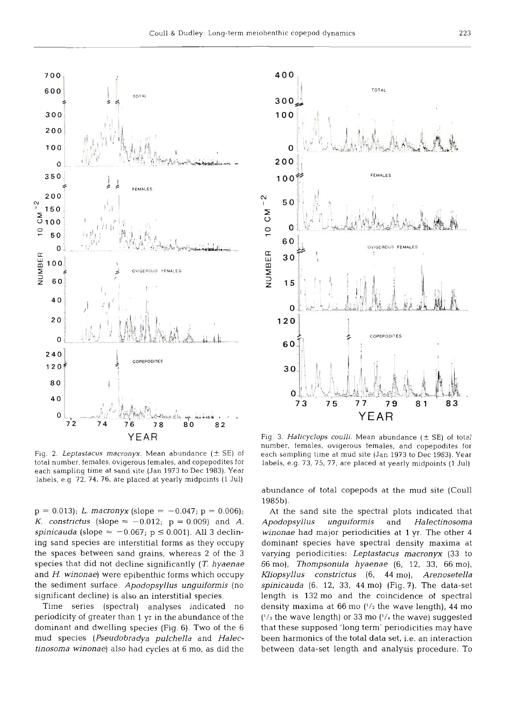$\frac{2}{1}$ 



400 **TOTAL** 300  $100$  $\overline{O}$ 200 FEMALES  $100$ z 50 10 CM  $\mathbf 0$ 60 **OVIQEROUS FEMALES** NUMBER 30  $15$ Ō.  $120$ **COPEPODITES 60n** r .  $30$ 0 **73 75 77 79 81 83 YEAR** 

Fig. 2. Leptastacus macronyx. Mean abundance  $(\pm$  SE) of total number, females, ovigerous females, and copepodites for each sampling time at sand site (Jan 1973 to Dec 1983). Year labels, e.g 72, 74, 76, are placed at yearly midpoints (1 Jul)

 $p = 0.013$ ; L. macronyx (slope = -0.047;  $p = 0.006$ ); *K. constrictus* (slope =  $-0.012$ ; p = 0.009) and *A*. spinicauda (slope =  $-0.067$ ; p  $\leq 0.001$ ). All 3 declining sand species are interstitial forms as they occupy the spaces between sand grains, whereas 2 of the 3 species that did not decline significantly **(T.** hyaenae and H. winonae) were epibenthic forms which occupy the sediment surface. Apodopsyllus unguiformis (no significant decline) is also an interstitial species.

Time series (spectral) analyses indicated no periodicity of greater than 1 yr in the abundance of the dominant and dwelling species (Fig. 6). Two of the 6 mud species (Pseudobradya pulchella and Halectinosoma winonae) also had cycles at 6 mo, as did the

Fig. 3. Halicyclops coulli. Mean abundance  $(\pm$  SE) of total number, females, ovigerous females, and copepodites for each sampling time at mud site (Jan 1973 to Dec 1983). Year labels, e.g. 73, 75, 77, are placed at yearly midpoints (1 Jul)

abundance of total copepods at the mud site (Coull 1985b).

At the sand site the spectral plots indicated that Apodopsyllus unguiformis and Halectinosoma winonae had major periodicities at **1** yr. The other 4 dominant species have spectral density maxima at varying periodicities: Leptastacus macronyx **(33** to 66 mo), Thornpsonula hyaenae (6, 12, 33, 66 mo), Kliopsyllus constrictus (6, 44 mo), Arenosetella spinicauda (6, 12, **33,** 44 mo) (Fig. 7). The data-set length is 132 mo and the coincidence of spectral density maxima at 66 mo **('/2** the wave length), 44 mo *('13* the wave length) or 33 mo (I/< the wave) suggested that these supposed 'long term' periodicities may have been harmonics of the total data set, i.e. an interaction between data-set length and analysis procedure. To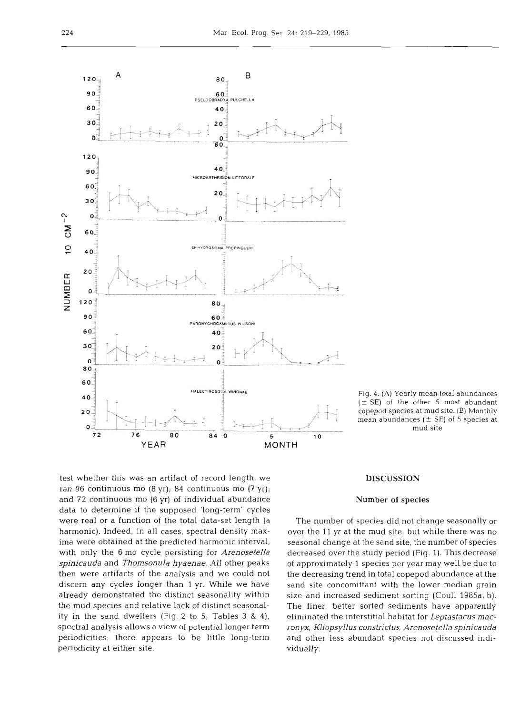

 $(\pm$  SE) of the other 5 most abundant copepod species at mud site. (B) Monthly mean abundances  $(\pm$  SE) of 5 species at mud site

test whether this was an artifact of record length, we ran 96 continuous mo (8 yr); 84 continuous mo (7 yr); and 72 continuous mo (6 yr) of individual abundance data to determine if the supposed 'long-term' cycles were real or a function of the total data-set length (a harmonic). Indeed, in all cases, spectral density maxima were obtained at the predicted harmonic interval, with only the 6 mo cycle persisting for *Arenosetella spinicauda* and *Thomsonula hyaenae.* All other peaks then were artifacts of the analysis and we could not discern any cycles longer than 1 yr. While we have already demonstrated the distinct seasonality within the mud species and relative lack of distinct seasonality in the sand dwellers (Fig. **2** to 5; Tables **3** & 4), spectral analysis allows a view of potential longer term periodicities; there appears to be little long-term periodicity at either site.

## DISCUSSION

#### Number **of** species

The number of species did not change seasonally or over the 11 yr at the mud site, but while there was no seasonal change at the sand site, the number of species decreased over the study period (Fig. 1). This decrease of approximately 1 species per year may well be due to the decreasing trend in total copepod abundance at the sand site concomittant with the lower median grain size and increased sediment sorting (Coull 1985a, b). The finer, better sorted sediments have apparently eliminated the interstitial habitat for *Leptastacus macronyx, Kliopsyllus constrictus, Arenosetella spinicauda*  and other less abundant species not discussed individually.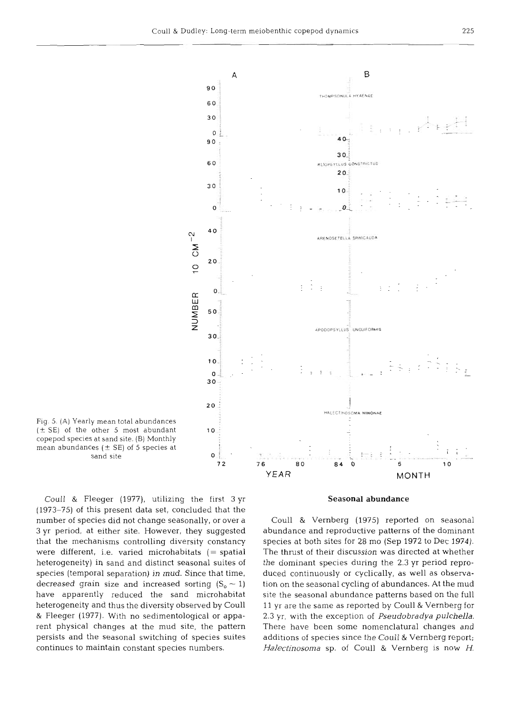

Fig. **5.** (A) Yearly mean total abundances  $(\pm S$ E) of the other 5 most abundant **10** copepod species at sand site. (B) Monthly mean abundances  $(\pm \text{ SE})$  of 5 species at sand site

Coull & Fleeger (1977), utilizing the first 3 yr (1973-75) of this present data set, concluded that the number of species did not change seasonally, or over a 3 yr period, at either site. However, they suggested that the mechanisms controlling diversity constancy were different, i.e. varied microhabitats  $(= spatial)$ heterogeneity) in sand and distinct seasonal suites of species (temporal separation) in mud. Since that time, decreased grain size and increased sorting  $(S_0 \sim 1)$ have apparently reduced the sand microhabitat heterogeneity and thus the diversity observed by Coull & Fleeger (1977). With no sedimentological or apparent physical changes at the mud site, the pattern persists and the seasonal switching of species suites continues to maintain constant species numbers.

## **Seasonal abundance**

Coull & Vernberg (1975) reported on seasonal abundance and reproductive patterns of the dominant species at both sites for 28 mo (Sep 1972 to Dec 1974). The thrust of their discussion was directed at whether the dominant species during the 2.3 yr period reproduced continuously or cyclically, as well as observation on the seasonal cycling of abundances. At the mud site the seasonal abundance patterns based on the full 11 yr are the same as reported by Coull & Vernberg for 2.3 yr, with the exception of *Pseudobradya pulchella.*  There have been some nomenclatural changes and additions of species since the Coull & Vernberg report; *Halectinosoma* sp. of Coull & Vernberg is now H.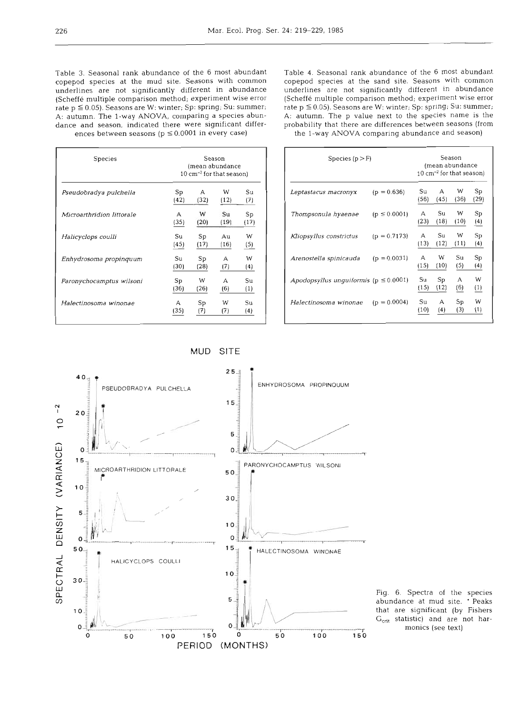Table **3.** Seasonal rank abundance of the 6 most abundant copepod species at the mud site. Seasons with common underlines are not significantly different in abundance (Scheffe multiple comparison method; experiment wise error rate p *S* 0.05). Seasons are W: winter; Sp: spring; Su: summer; **A:** autumn. The l-way **ANOVA,** comparing a species abundance and season, indicated there were significant differences between seasons ( $p \le 0.0001$  in every case)

Table 4. Seasonal rank abundance of the *6* most abundant copepod species at the sand site. Seasons with common underlines are not significantly different in abundance (Scheffe multiple comparison method; experiment wise error rate p *S* 0.05). Seasons are W: winter; Sp: spring; Su: summer; A: autumn. The **p** value next to the species name is the probability that there are differences between seasons (from the l-way ANOVA comparing abundance and season)

| Species                   | Season<br>(mean abundance<br>$10 \text{ cm}^{-2}$ for that season) |      |       |      |  |  |  |
|---------------------------|--------------------------------------------------------------------|------|-------|------|--|--|--|
| Pseudobradya pulchella    | Sp                                                                 | А    | w     | Su   |  |  |  |
|                           | (42)                                                               | (32) | (12)  | (7)  |  |  |  |
| Microarthridion littorale | А                                                                  | W    | Su    | Sp   |  |  |  |
|                           | (35)                                                               | (20) | (191) | (17) |  |  |  |
| Halicyclops coulli        | Su                                                                 | Sp   | Au    | W    |  |  |  |
|                           | (45)                                                               | (17) | (16)  | (5)  |  |  |  |
| Enhydrosoma propinquum    | Su                                                                 | Sp   | А     | w    |  |  |  |
|                           | (30)                                                               | (28) | (7)   | (4)  |  |  |  |
| Paronychocamptus wilsoni  | Sp                                                                 | W    | А     | Sц   |  |  |  |
|                           | (36)                                                               | (26) | (6)   | (1)  |  |  |  |
| Halectinosoma winonae     | А                                                                  | Sp   | W     | Sц   |  |  |  |
|                           | (35)                                                               | (7)  | (7)   | (4)  |  |  |  |

| Species $(p > F)$                            |                  |                      | Season<br>(mean abundance<br>$10 \text{ cm}^{-2}$ for that season) |           |            |  |  |
|----------------------------------------------|------------------|----------------------|--------------------------------------------------------------------|-----------|------------|--|--|
| Leptastacus macronyx                         | $(p = 0.636)$    | Su<br>(56)           | A<br>(45)                                                          | W<br>(36) | Sp<br>(29) |  |  |
| Thompsonula hyaenae                          | $(p \le 0.0001)$ | А<br>(23)            | Su<br>(18)                                                         | W<br>(10) | Sp<br>(4)  |  |  |
| Kliopsyllus constrictus                      | $(p = 0.7173)$   | $\mathsf{A}$<br>(13) | Su<br>(12)                                                         | W<br>(11) | Sp<br>(4)  |  |  |
| Arenostella spinicauda                       | $(p = 0.0031)$   | А<br>(15)            | W<br>(10)                                                          | Su<br>(5) | Sp<br>(4)  |  |  |
| Apodopsyllus unguiformis ( $p \leq 0.0001$ ) |                  | Su<br>(15)           | Sp<br>(12)                                                         | А<br>(6)  | W<br>(1)   |  |  |
| Halectinosoma winonae                        | $(p = 0.0004)$   | Su<br>(10)           | А<br>(4)                                                           | Sp<br>(3) | W<br>(1)   |  |  |

MUD SITE



Fig. 6. Spectra of the species abundance at mud site. ' Peaks that are significant (by Fishers  $G_{\text{crit}}$  statistic) and are not harmonics (see text)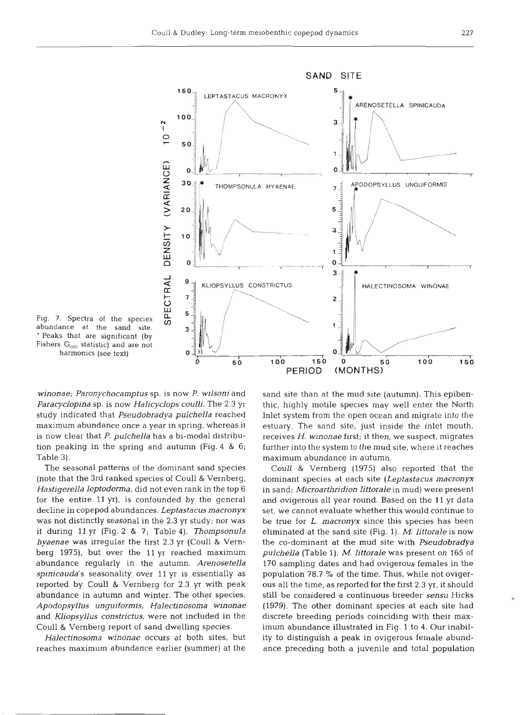

Fig. 7. Spectra of the species abundance at the sand s ' Peaks that are significant (by Fishers G<sub>cnt</sub> statistic) and are not harmonics (see text)

*winonae; Paronychocamptus* sp. is now P. *wilsoni* and *Paracyclopina* sp. is now *Halicyclops coulli.* The 2.3 yr study indicated that *Pseudobradya pulchella* reached maximum abundance once a year in spring, whereas it is now clear that P, *pulchella* has a bi-modal distribution peaking in the spring and autumn (Fig. 4 & 6; Table 3).

The seasonal patterns of the dominant sand species (note that the 3rd ranked species of Coull & Vernberg, *Hastigerella leptoderma,* did not even rank in the top 6 for the entire 11 yr), is confounded by the general decline in copepod abundances. *Leptastacus macronyx*  was not distinctly seasonal in the 2.3 yr study; nor was it during l1 yr (Fig. 2 & 7; Table 4). *Thompsonula hyaenae* was irregular the first 2.3 **yr** (Coull & Vernberg 1975), but over the 11 yr reached maximum abundance regularly in the autumn. *Arenosetella spinicauda's* seasonality over 11 **yr** is essentially as reported by Coull & Vernberg for 2.3 **yr** with peak abundance in autumn and winter. The other species, *Apodopsyllus unguiforrnis, Halectinosoma winonae*  and *Miopsyllus constrictus,* were not included in the Coull & Vernberg report of sand dwelling species.

*Halectinosoma winonae* occurs at both sites, but reaches maximum abundance earlier (summer) at the sand site than at the mud site (autumn). This epibenthic, highly motile species may well enter the North Inlet system from the open ocean and migrate into the estuary. The sand site, just inside the inlet mouth, receives *H. winonae* first; it then, we suspect, migrates further into the system to the mud site, where it reaches maximum abundance in autumn.

Coull & Vernberg (1975) also reported that the dominant species at each site *(Leptastacus macronyx*  in sand; *Microarthridion littorale* in mud) were present and ovigerous all year round. Based on the 11 yr data set, we cannot evaluate whether this would continue to be true for L. *macronyx* since this species has been eliminated at the sand site (Fig. 1). *M. littorale* is now the CO-dominant at the mud site with *Pseudobradya pulchella* (Table 1). *M. littorale* was present on 165 of 170 sampling dates and had ovigerous females in the population 78.7 % of the time. Thus, while not ovigerous all the time, as reported for the first 2.3 yr, it should still be considered a continuous breeder *sensu* Hicks (1979). The other dominant species at each site had discrete breeding periods coinciding with their maximum abundance illustrated in Fig. 1 to 4. Our inability to distinguish a peak in ovigerous female abundance preceding both a juvenile and total population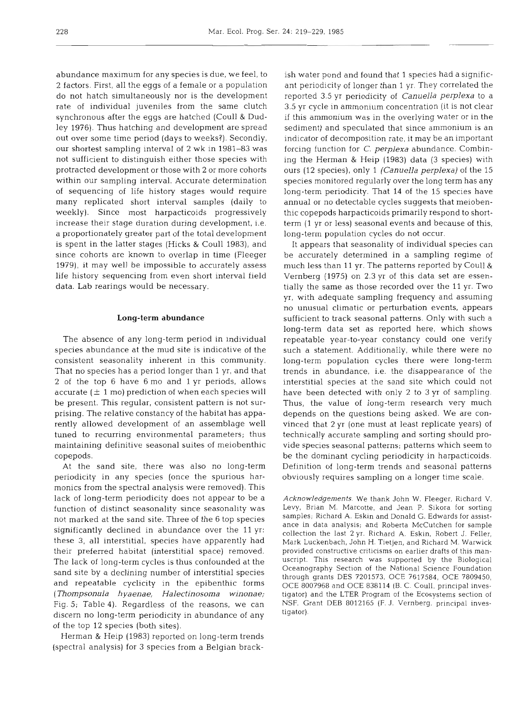abundance maximum for any species is due, we feel, to 2 factors. First, all the eggs of a female or a population do not hatch simultaneously nor is the development rate of individual juveniles from the same clutch synchronous after the eggs are hatched (Coull & Dudley 1976). Thus hatching and development are spread out over some time period (days to weeks?). Secondly, our shortest sampling interval of 2 wk in 1981-83 was not sufficient to distinguish either those species with protracted development or those with 2 or more cohorts within our sampling interval. Accurate determination of sequencing of life history stages would require many replicated short interval samples (daily to weekly). Since most harpacticoids progressively increase their stage duration during development, i.e. a proportionately greater part of the total development is spent in the latter stages (Hicks & Coull 1983), and since cohorts are known to overlap in time (Fleeger 1979), it may well be impossible to accurately assess life history sequencing from even short interval field data. Lab rearings would be necessary.

## **Long-term abundance**

The absence of any long-term period in individual species abundance at the mud site is indicative of the consistent seasonality inherent in this community. That no species has a period longer than 1 yr, and that **2** of the top 6 have 6 mo and 1 yr periods, allows accurate ( $\pm$  1 mo) prediction of when each species will be present. This regular, consistent pattern is not surprising. The relative constancy of the habitat has apparently allowed development of an assemblage well tuned to recurring environmental parameters; thus maintaining definitive seasonal suites of meiobenthic copepods.

At the sand site, there was also no long-term periodicity in any species (once the spurious harmonics from the spectral analysis were removed). This lack of long-term periodicity does not appear to be a function of distinct seasonality since seasonality was not marked at the sand site. Three of the 6 top species significantly declined in abundance over the 11 yr: these 3, all interstitial, species have apparently had their preferred habitat (interstitial space) removed. The lack of long-term cycles is thus confounded at the sand site by a declining number of interstitial species and repeatable cyclicity in the epibenthic forms (Thompsonula hyaenae, Halectinosoma winonae; Fig. 5; Table 4). Regardless of the reasons, we can discern no long-term periodicity in abundance of any of the top 12 species (both sites).

Herman & Heip (1983) reported on long-term trends (spectral analysis) for 3 species from a Belgian bracksh water pond and found that 1 species had a significant periodicity of longer than 1 yr. They correlated the reported 3.5 yr periodicity of *Canuella perplexa* to a 3.5 yr cycle in ammonium concentration (it is not clear

Vernberg (1975) on 2.3 yr of this data set are essentially the same as those recorded over the 11 yr. Two model with adequate sampling frequency and assuming no unusual climatic or perturbation events, appears sufficient t